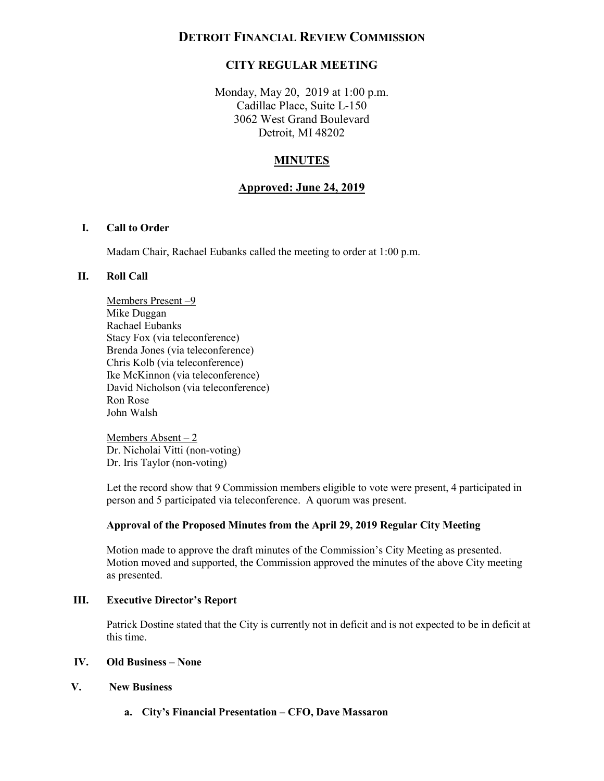# **DETROIT FINANCIAL REVIEW COMMISSION**

# **CITY REGULAR MEETING**

 Monday, May 20, 2019 at 1:00 p.m. Cadillac Place, Suite L-150 3062 West Grand Boulevard Detroit, MI 48202

# **MINUTES**

### **Approved: June 24, 2019**

### **I. Call to Order**

Madam Chair, Rachael Eubanks called the meeting to order at 1:00 p.m.

### **II. Roll Call**

Members Present –9 Mike Duggan Rachael Eubanks Stacy Fox (via teleconference) Brenda Jones (via teleconference) Chris Kolb (via teleconference) Ike McKinnon (via teleconference) David Nicholson (via teleconference) Ron Rose John Walsh

 Members Absent – 2 Dr. Nicholai Vitti (non-voting) Dr. Iris Taylor (non-voting)

 Let the record show that 9 Commission members eligible to vote were present, 4 participated in person and 5 participated via teleconference. A quorum was present.

### **Approval of the Proposed Minutes from the April 29, 2019 Regular City Meeting**

 Motion moved and supported, the Commission approved the minutes of the above City meeting Motion made to approve the draft minutes of the Commission's City Meeting as presented. as presented.

### **III. Executive Director's Report**

 Patrick Dostine stated that the City is currently not in deficit and is not expected to be in deficit at this time.

### **IV. Old Business – None**

### **V. New Business**

**a. City's Financial Presentation – CFO, Dave Massaron**